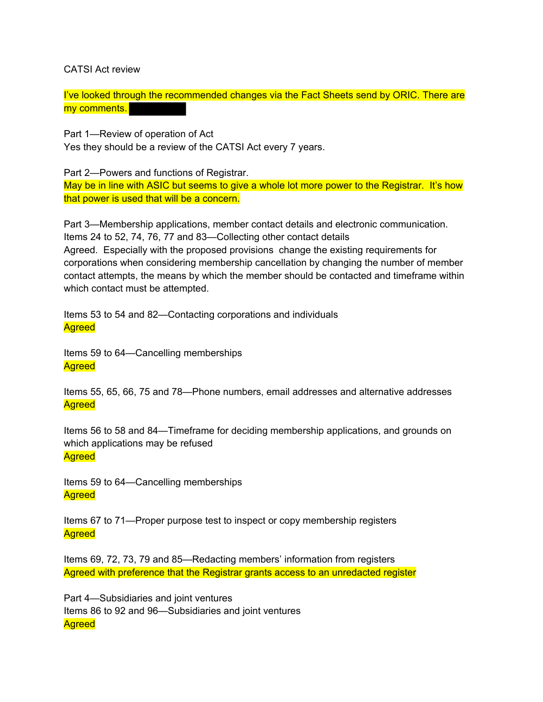CATSI Act review

I've looked through the recommended changes via the Fact Sheets send by ORIC. There are my comments.

Part 1—Review of operation of Act

Yes they should be a review of the CATSI Act every 7 years.

Part 2—Powers and functions of Registrar.

May be in line with ASIC but seems to give a whole lot more power to the Registrar. It's how that power is used that will be a concern.

Part 3—Membership applications, member contact details and electronic communication. Items 24 to 52, 74, 76, 77 and 83—Collecting other contact details Agreed. Especially with the proposed provisions change the existing requirements for corporations when considering membership cancellation by changing the number of member contact attempts, the means by which the member should be contacted and timeframe within which contact must be attempted.

Items 53 to 54 and 82—Contacting corporations and individuals **Agreed** 

Items 59 to 64—Cancelling memberships **Agreed** 

Items 55, 65, 66, 75 and 78—Phone numbers, email addresses and alternative addresses **Agreed** 

Items 56 to 58 and 84—Timeframe for deciding membership applications, and grounds on which applications may be refused **Agreed** 

Items 59 to 64—Cancelling memberships **Agreed** 

Items 67 to 71—Proper purpose test to inspect or copy membership registers **Agreed** 

Items 69, 72, 73, 79 and 85—Redacting members' information from registers Agreed with preference that the Registrar grants access to an unredacted register

Part 4—Subsidiaries and joint ventures Items 86 to 92 and 96—Subsidiaries and joint ventures **Agreed**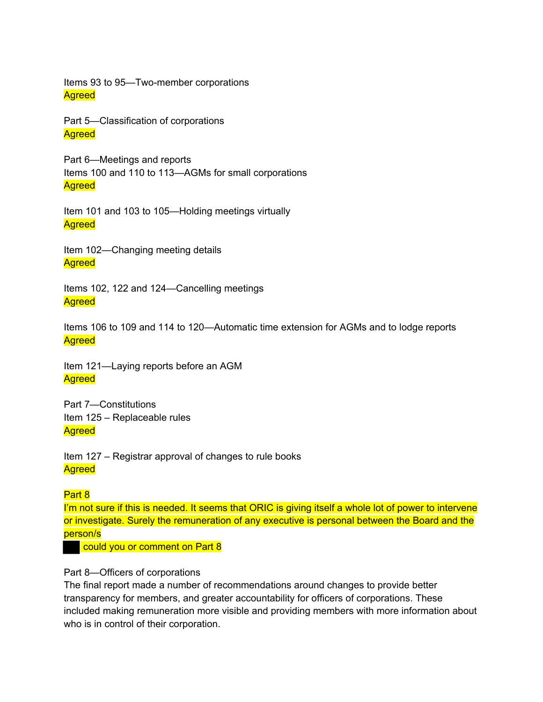Items 93 to 95—Two-member corporations **Agreed** 

Part 5—Classification of corporations **Agreed** 

Part 6—Meetings and reports Items 100 and 110 to 113—AGMs for small corporations **Agreed** 

Item 101 and 103 to 105—Holding meetings virtually **Agreed** 

Item 102—Changing meeting details **Agreed** 

Items 102, 122 and 124—Cancelling meetings **Agreed** 

Items 106 to 109 and 114 to 120—Automatic time extension for AGMs and to lodge reports **Agreed** 

Item 121—Laying reports before an AGM **Agreed** 

Part 7—Constitutions Item 125 – Replaceable rules **Agreed** 

Item 127 – Registrar approval of changes to rule books **Agreed** 

## Part 8

I'm not sure if this is needed. It seems that ORIC is giving itself a whole lot of power to intervene or investigate. Surely the remuneration of any executive is personal between the Board and the person/s

could you or comment on Part 8

## Part 8—Officers of corporations

The final report made a number of recommendations around changes to provide better transparency for members, and greater accountability for officers of corporations. These included making remuneration more visible and providing members with more information about who is in control of their corporation.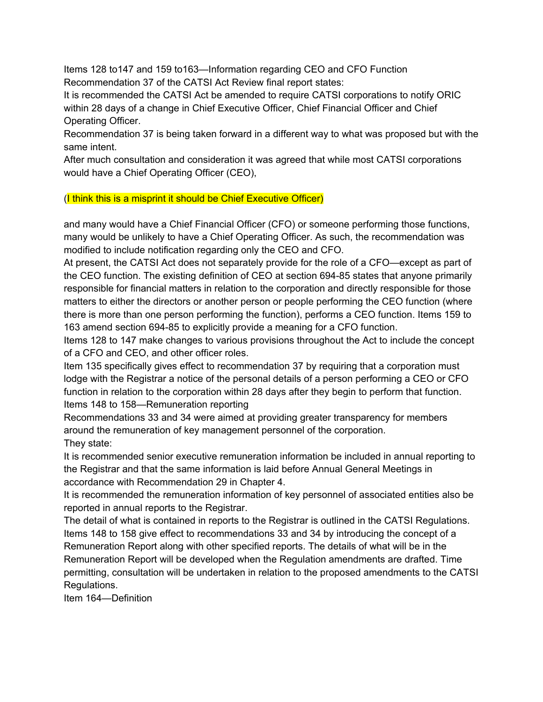Items 128 to147 and 159 to163—Information regarding CEO and CFO Function Recommendation 37 of the CATSI Act Review final report states:

It is recommended the CATSI Act be amended to require CATSI corporations to notify ORIC within 28 days of a change in Chief Executive Officer, Chief Financial Officer and Chief Operating Officer.

Recommendation 37 is being taken forward in a different way to what was proposed but with the same intent.

After much consultation and consideration it was agreed that while most CATSI corporations would have a Chief Operating Officer (CEO),

(I think this is a misprint it should be Chief Executive Officer)

and many would have a Chief Financial Officer (CFO) or someone performing those functions, many would be unlikely to have a Chief Operating Officer. As such, the recommendation was modified to include notification regarding only the CEO and CFO.

At present, the CATSI Act does not separately provide for the role of a CFO—except as part of the CEO function. The existing definition of CEO at section 694-85 states that anyone primarily responsible for financial matters in relation to the corporation and directly responsible for those matters to either the directors or another person or people performing the CEO function (where there is more than one person performing the function), performs a CEO function. Items 159 to 163 amend section 694-85 to explicitly provide a meaning for a CFO function.

Items 128 to 147 make changes to various provisions throughout the Act to include the concept of a CFO and CEO, and other officer roles.

Item 135 specifically gives effect to recommendation 37 by requiring that a corporation must lodge with the Registrar a notice of the personal details of a person performing a CEO or CFO function in relation to the corporation within 28 days after they begin to perform that function. Items 148 to 158—Remuneration reporting

Recommendations 33 and 34 were aimed at providing greater transparency for members around the remuneration of key management personnel of the corporation. They state:

It is recommended senior executive remuneration information be included in annual reporting to the Registrar and that the same information is laid before Annual General Meetings in accordance with Recommendation 29 in Chapter 4.

It is recommended the remuneration information of key personnel of associated entities also be reported in annual reports to the Registrar.

The detail of what is contained in reports to the Registrar is outlined in the CATSI Regulations. Items 148 to 158 give effect to recommendations 33 and 34 by introducing the concept of a

Remuneration Report along with other specified reports. The details of what will be in the Remuneration Report will be developed when the Regulation amendments are drafted. Time permitting, consultation will be undertaken in relation to the proposed amendments to the CATSI Regulations.

Item 164—Definition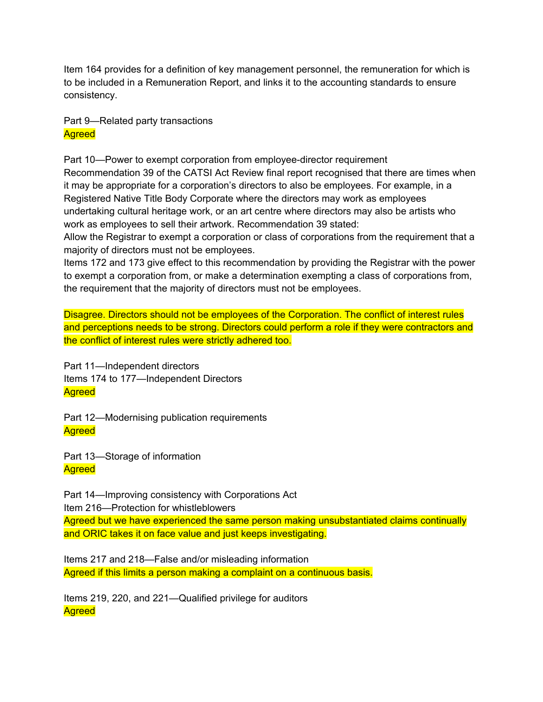Item 164 provides for a definition of key management personnel, the remuneration for which is to be included in a Remuneration Report, and links it to the accounting standards to ensure consistency.

Part 9—Related party transactions **Agreed** 

Part 10—Power to exempt corporation from employee-director requirement Recommendation 39 of the CATSI Act Review final report recognised that there are times when it may be appropriate for a corporation's directors to also be employees. For example, in a Registered Native Title Body Corporate where the directors may work as employees undertaking cultural heritage work, or an art centre where directors may also be artists who work as employees to sell their artwork. Recommendation 39 stated:

Allow the Registrar to exempt a corporation or class of corporations from the requirement that a majority of directors must not be employees.

Items 172 and 173 give effect to this recommendation by providing the Registrar with the power to exempt a corporation from, or make a determination exempting a class of corporations from, the requirement that the majority of directors must not be employees.

Disagree. Directors should not be employees of the Corporation. The conflict of interest rules and perceptions needs to be strong. Directors could perform a role if they were contractors and the conflict of interest rules were strictly adhered too.

Part 11—Independent directors Items 174 to 177—Independent Directors **Agreed** 

Part 12—Modernising publication requirements **Agreed** 

Part 13—Storage of information **Agreed** 

Part 14—Improving consistency with Corporations Act Item 216—Protection for whistleblowers Agreed but we have experienced the same person making unsubstantiated claims continually

and ORIC takes it on face value and just keeps investigating.

Items 217 and 218—False and/or misleading information Agreed if this limits a person making a complaint on a continuous basis.

Items 219, 220, and 221—Qualified privilege for auditors **Agreed**